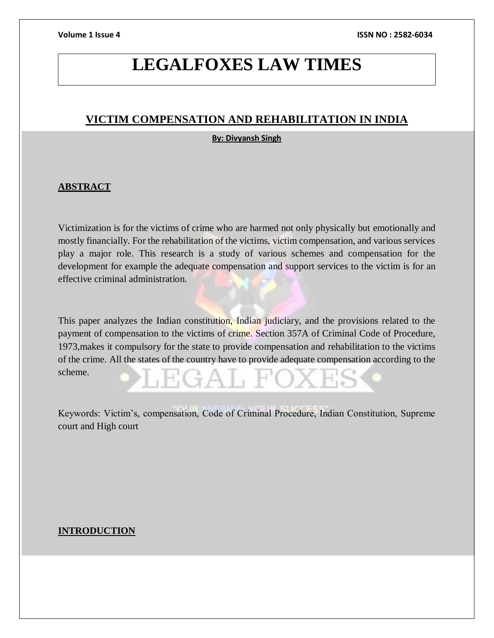# **LEGALFOXES LAW TIMES**

# **VICTIM COMPENSATION AND REHABILITATION IN INDIA**

# **By: Divyansh Singh**

# **ABSTRACT**

Victimization is for the victims of crime who are harmed not only physically but emotionally and mostly financially. For the rehabilitation of the victims, victim compensation, and various services play a major role. This research is a study of various schemes and compensation for the development for example the adequate compensation and support services to the victim is for an effective criminal administration.

This paper analyzes the Indian constitution, Indian judiciary, and the provisions related to the payment of compensation to the victims of crime. Section 357A of Criminal Code of Procedure, 1973,makes it compulsory for the state to provide compensation and rehabilitation to the victims of the crime. All the states of the country have to provide adequate compensation according to the scheme.

Keywords: Victim's, compensation, Code of Criminal Procedure, Indian Constitution, Supreme court and High court

# **INTRODUCTION**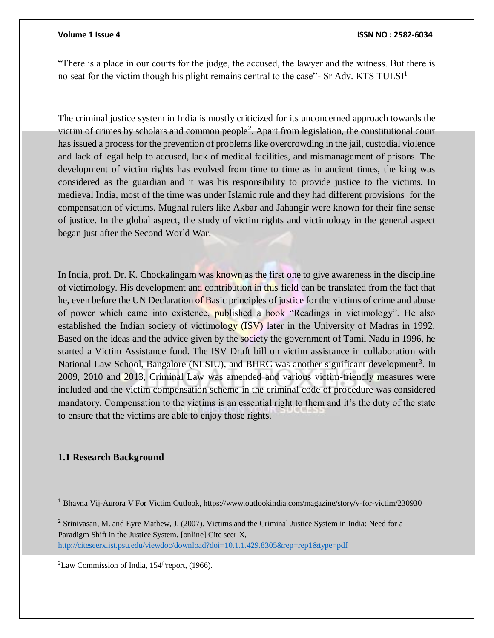"There is a place in our courts for the judge, the accused, the lawyer and the witness. But there is no seat for the victim though his plight remains central to the case"- Sr Adv. KTS TULSI $<sup>1</sup>$ </sup>

The criminal justice system in India is mostly criticized for its unconcerned approach towards the victim of crimes by scholars and common people<sup>2</sup>. Apart from legislation, the constitutional court has issued a process for the prevention of problems like overcrowding in the jail, custodial violence and lack of legal help to accused, lack of medical facilities, and mismanagement of prisons. The development of victim rights has evolved from time to time as in ancient times, the king was considered as the guardian and it was his responsibility to provide justice to the victims. In medieval India, most of the time was under Islamic rule and they had different provisions for the compensation of victims. Mughal rulers like Akbar and Jahangir were known for their fine sense of justice. In the global aspect, the study of victim rights and victimology in the general aspect began just after the Second World War.

In India, prof. Dr. K. Chockalingam was known as the first one to give awareness in the discipline of victimology. His development and contribution in this field can be translated from the fact that he, even before the UN Declaration of Basic principles of justice for the victims of crime and abuse of power which came into existence, published a book "Readings in victimology". He also established the Indian society of victimology (ISV) later in the University of Madras in 1992. Based on the ideas and the advice given by the society the government of Tamil Nadu in 1996, he started a Victim Assistance fund. The ISV Draft bill on victim assistance in collaboration with National Law School, Bangalore (NLSIU), and BHRC was another significant development<sup>3</sup>. In 2009, 2010 and 2013, Criminal Law was amended and various victim-friendly measures were included and the victim compensation scheme in the criminal code of procedure was considered mandatory. Compensation to the victims is an essential right to them and it's the duty of the state to ensure that the victims are able to enjoy those rights.

### **1.1 Research Background**

<sup>1</sup> Bhavna Vij-Aurora V For Victim Outlook, https://www.outlookindia.com/magazine/story/v-for-victim/230930

<sup>&</sup>lt;sup>2</sup> Srinivasan, M. and Eyre Mathew, J. (2007). Victims and the Criminal Justice System in India: Need for a Paradigm Shift in the Justice System. [online] Cite seer X, http://citeseerx.ist.psu.edu/viewdoc/download?doi=10.1.1.429.8305&rep=rep1&type=pdf

 ${}^{3}$ Law Commission of India, 154<sup>th</sup>report, (1966).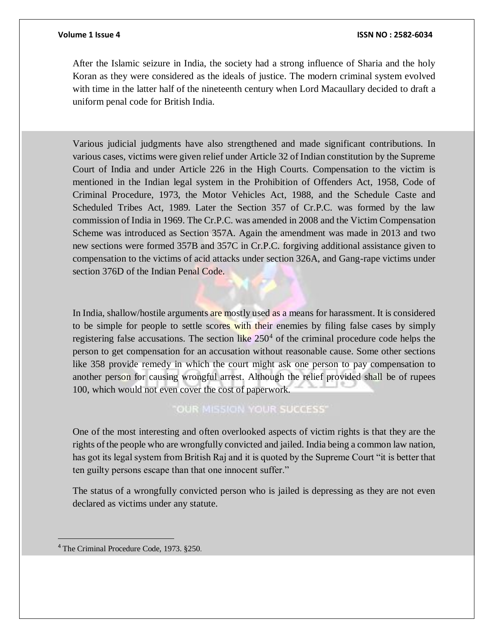After the Islamic seizure in India, the society had a strong influence of Sharia and the holy Koran as they were considered as the ideals of justice. The modern criminal system evolved with time in the latter half of the nineteenth century when Lord Macaullary decided to draft a uniform penal code for British India.

Various judicial judgments have also strengthened and made significant contributions. In various cases, victims were given relief under Article 32 of Indian constitution by the Supreme Court of India and under Article 226 in the High Courts. Compensation to the victim is mentioned in the Indian legal system in the Prohibition of Offenders Act, 1958, Code of Criminal Procedure, 1973, the Motor Vehicles Act, 1988, and the Schedule Caste and Scheduled Tribes Act, 1989. Later the Section 357 of Cr.P.C. was formed by the law commission of India in 1969. The Cr.P.C. was amended in 2008 and the Victim Compensation Scheme was introduced as Section 357A. Again the amendment was made in 2013 and two new sections were formed 357B and 357C in Cr.P.C. forgiving additional assistance given to compensation to the victims of acid attacks under section 326A, and Gang-rape victims under section 376D of the Indian Penal Code.

In India, shallow/hostile arguments are mostly used as a means for harassment. It is considered to be simple for people to settle scores with their enemies by filing false cases by simply registering false accusations. The section like  $250<sup>4</sup>$  of the criminal procedure code helps the person to get compensation for an accusation without reasonable cause. Some other sections like 358 provide remedy in which the court might ask one person to pay compensation to another person for causing wrongful arrest. Although the relief provided shall be of rupees 100, which would not even cover the cost of paperwork.

# "OUR MISSION YOUR SUCCESS"

One of the most interesting and often overlooked aspects of victim rights is that they are the rights of the people who are wrongfully convicted and jailed. India being a common law nation, has got its legal system from British Raj and it is quoted by the Supreme Court "it is better that ten guilty persons escape than that one innocent suffer."

The status of a wrongfully convicted person who is jailed is depressing as they are not even declared as victims under any statute.

<sup>4</sup> The Criminal Procedure Code, 1973. §250.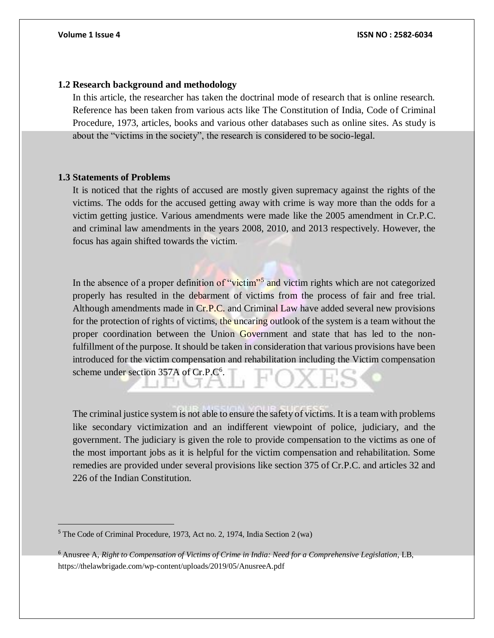### **1.2 Research background and methodology**

In this article, the researcher has taken the doctrinal mode of research that is online research. Reference has been taken from various acts like The Constitution of India, Code of Criminal Procedure, 1973, articles, books and various other databases such as online sites. As study is about the "victims in the society", the research is considered to be socio-legal.

# **1.3 Statements of Problems**

It is noticed that the rights of accused are mostly given supremacy against the rights of the victims. The odds for the accused getting away with crime is way more than the odds for a victim getting justice. Various amendments were made like the 2005 amendment in Cr.P.C. and criminal law amendments in the years 2008, 2010, and 2013 respectively. However, the focus has again shifted towards the victim.

In the absence of a proper definition of "victim"<sup>5</sup> and victim rights which are not categorized properly has resulted in the debarment of victims from the process of fair and free trial. Although amendments made in Cr.P.C. and Criminal Law have added several new provisions for the protection of rights of victims, the uncaring outlook of the system is a team without the proper coordination between the Union Government and state that has led to the nonfulfillment of the purpose. It should be taken in consideration that various provisions have been introduced for the victim compensation and rehabilitation including the Victim compensation scheme under section 357A of Cr.P.C<sup>6</sup>.

The criminal justice system is not able to ensure the safety of victims. It is a team with problems like secondary victimization and an indifferent viewpoint of police, judiciary, and the government. The judiciary is given the role to provide compensation to the victims as one of the most important jobs as it is helpful for the victim compensation and rehabilitation. Some remedies are provided under several provisions like section 375 of Cr.P.C. and articles 32 and 226 of the Indian Constitution.

<sup>5</sup> The Code of Criminal Procedure, 1973, Act no. 2, 1974, India Section 2 (wa)

<sup>6</sup> Anusree A, *Right to Compensation of Victims of Crime in India: Need for a Comprehensive Legislation*, LB, https://thelawbrigade.com/wp-content/uploads/2019/05/AnusreeA.pdf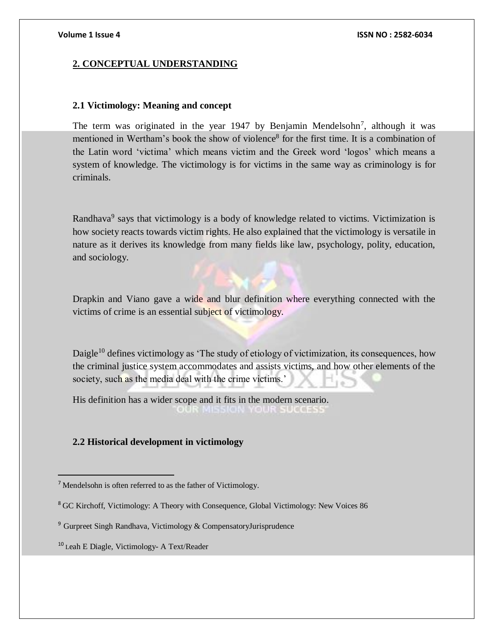### **2. CONCEPTUAL UNDERSTANDING**

### **2.1 Victimology: Meaning and concept**

The term was originated in the year 1947 by Benjamin Mendelsohn<sup>7</sup>, although it was mentioned in Wertham's book the show of violence<sup>8</sup> for the first time. It is a combination of the Latin word 'victima' which means victim and the Greek word 'logos' which means a system of knowledge. The victimology is for victims in the same way as criminology is for criminals.

Randhava<sup>9</sup> says that victimology is a body of knowledge related to victims. Victimization is how society reacts towards victim rights. He also explained that the victimology is versatile in nature as it derives its knowledge from many fields like law, psychology, polity, education, and sociology.

Drapkin and Viano gave a wide and blur definition where everything connected with the victims of crime is an essential subject of victimology.

Daigle<sup>10</sup> defines victimology as 'The study of etiology of victimization, its consequences, how the criminal justice system accommodates and assists victims, and how other elements of the society, such as the media deal with the crime victims.'

His definition has a wider scope and it fits in the modern scenario. MISSION YOUR SUCCESS

### **2.2 Historical development in victimology**

 $<sup>7</sup>$  Mendelsohn is often referred to as the father of Victimology.</sup>

<sup>8</sup> GC Kirchoff, Victimology: A Theory with Consequence, Global Victimology: New Voices 86

<sup>9</sup> Gurpreet Singh Randhava, Victimology & CompensatoryJurisprudence

<sup>10</sup> Leah E Diagle, Victimology- A Text/Reader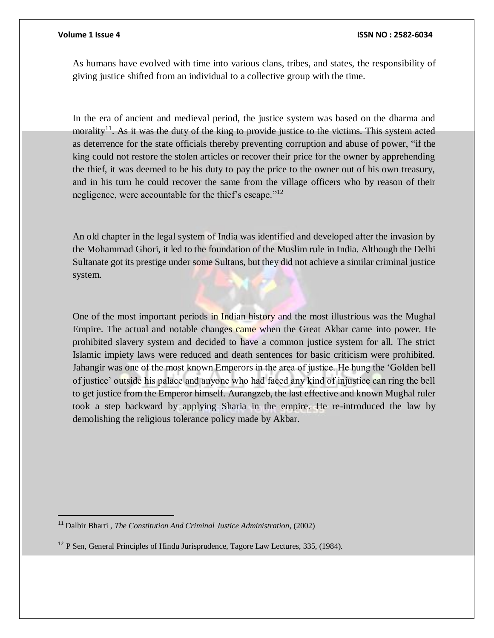$\overline{a}$ 

As humans have evolved with time into various clans, tribes, and states, the responsibility of giving justice shifted from an individual to a collective group with the time.

In the era of ancient and medieval period, the justice system was based on the dharma and morality<sup>11</sup>. As it was the duty of the king to provide justice to the victims. This system acted as deterrence for the state officials thereby preventing corruption and abuse of power, "if the king could not restore the stolen articles or recover their price for the owner by apprehending the thief, it was deemed to be his duty to pay the price to the owner out of his own treasury, and in his turn he could recover the same from the village officers who by reason of their negligence, were accountable for the thief's escape."<sup>12</sup>

An old chapter in the legal system of India was identified and developed after the invasion by the Mohammad Ghori, it led to the foundation of the Muslim rule in India. Although the Delhi Sultanate got its prestige under some Sultans, but they did not achieve a similar criminal justice system.

One of the most important periods in Indian history and the most illustrious was the Mughal Empire. The actual and notable changes came when the Great Akbar came into power. He prohibited slavery system and decided to have a common justice system for all. The strict Islamic impiety laws were reduced and death sentences for basic criticism were prohibited. Jahangir was one of the most known Emperors in the area of justice. He hung the 'Golden bell of justice' outside his palace and anyone who had faced any kind of injustice can ring the bell to get justice from the Emperor himself. Aurangzeb, the last effective and known Mughal ruler took a step backward by applying Sharia in the empire. He re-introduced the law by demolishing the religious tolerance policy made by Akbar.

<sup>11</sup> Dalbir Bharti , *The Constitution And Criminal Justice Administration*, (2002)

<sup>&</sup>lt;sup>12</sup> P Sen, General Principles of Hindu Jurisprudence, Tagore Law Lectures, 335, (1984).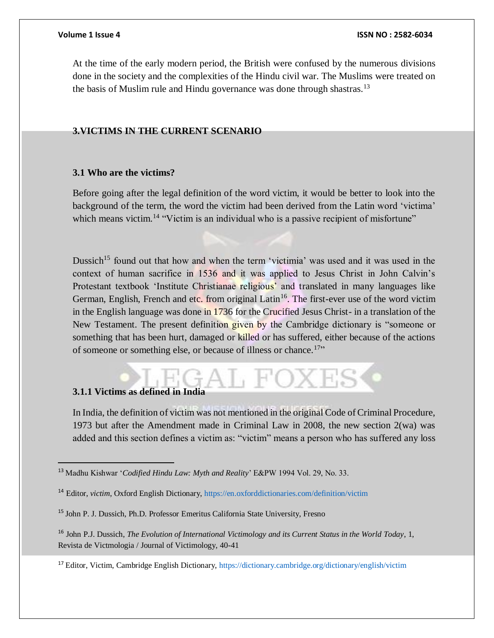At the time of the early modern period, the British were confused by the numerous divisions done in the society and the complexities of the Hindu civil war. The Muslims were treated on the basis of Muslim rule and Hindu governance was done through shastras.<sup>13</sup>

# **3.VICTIMS IN THE CURRENT SCENARIO**

### **3.1 Who are the victims?**

Before going after the legal definition of the word victim, it would be better to look into the background of the term, the word the victim had been derived from the Latin word 'victima' which means victim.<sup>14</sup> "Victim is an individual who is a passive recipient of misfortune"

Dussich<sup>15</sup> found out that how and when the term 'victimia' was used and it was used in the context of human sacrifice in 1536 and it was applied to Jesus Christ in John Calvin's Protestant textbook 'Institute Christianae religious' and translated in many languages like German, English, French and etc. from original Latin<sup>16</sup>. The first-ever use of the word victim in the English language was done in 1736 for the Crucified Jesus Christ- in a translation of the New Testament. The present definition given by the Cambridge dictionary is "someone or something that has been hurt, damaged or killed or has suffered, either because of the actions of someone or something else, or because of illness or chance.<sup>17</sup>"

# **3.1.1 Victims as defined in India**

 $\overline{a}$ 

In India, the definition of victim was not mentioned in the original Code of Criminal Procedure, 1973 but after the Amendment made in Criminal Law in 2008, the new section 2(wa) was added and this section defines a victim as: "victim" means a person who has suffered any loss

<sup>13</sup> Madhu Kishwar '*Codified Hindu Law: Myth and Reality*' E&PW 1994 Vol. 29, No. 33.

<sup>14</sup> Editor, *victim*, Oxford English Dictionary, https://en.oxforddictionaries.com/definition/victim

<sup>15</sup> John P. J. Dussich, Ph.D. Professor Emeritus California State University, Fresno

<sup>16</sup> John P.J. Dussich, *The Evolution of International Victimology and its Current Status in the World Today*, 1, Revista de Victmologia / Journal of Victimology, 40-41

<sup>17</sup> Editor, Victim, Cambridge English Dictionary, https://dictionary.cambridge.org/dictionary/english/victim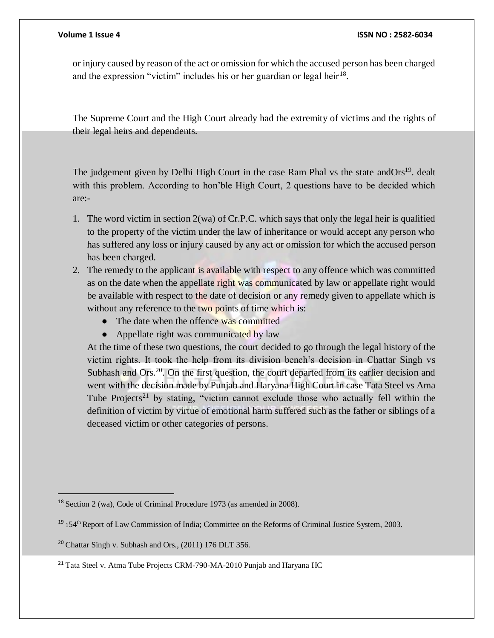or injury caused by reason of the act or omission for which the accused person has been charged and the expression "victim" includes his or her guardian or legal heir $^{18}$ .

The Supreme Court and the High Court already had the extremity of victims and the rights of their legal heirs and dependents.

The judgement given by Delhi High Court in the case Ram Phal vs the state and Ors<sup>19</sup>. dealt with this problem. According to hon'ble High Court, 2 questions have to be decided which are:-

- 1. The word victim in section 2(wa) of Cr.P.C. which says that only the legal heir is qualified to the property of the victim under the law of inheritance or would accept any person who has suffered any loss or injury caused by any act or omission for which the accused person has been charged.
- 2. The remedy to the applicant is available with respect to any offence which was committed as on the date when the appellate right was communicated by law or appellate right would be available with respect to the date of decision or any remedy given to appellate which is without any reference to the two points of time which is:
	- The date when the offence was committed
	- Appellate right was communicated by law

At the time of these two questions, the court decided to go through the legal history of the victim rights. It took the help from its division bench's decision in Chattar Singh vs Subhash and Ors.<sup>20</sup>. On the first question, the court departed from its earlier decision and went with the decision made by Punjab and Haryana High Court in case Tata Steel vs Ama Tube Projects<sup>21</sup> by stating, "victim cannot exclude those who actually fell within the definition of victim by virtue of emotional harm suffered such as the father or siblings of a deceased victim or other categories of persons.

<sup>18</sup> Section 2 (wa), Code of Criminal Procedure 1973 (as amended in 2008).

<sup>&</sup>lt;sup>19</sup> 154<sup>th</sup> Report of Law Commission of India; Committee on the Reforms of Criminal Justice System, 2003.

 $20$  Chattar Singh v. Subhash and Ors., (2011) 176 DLT 356.

<sup>&</sup>lt;sup>21</sup> Tata Steel v. Atma Tube Projects CRM-790-MA-2010 Punjab and Haryana HC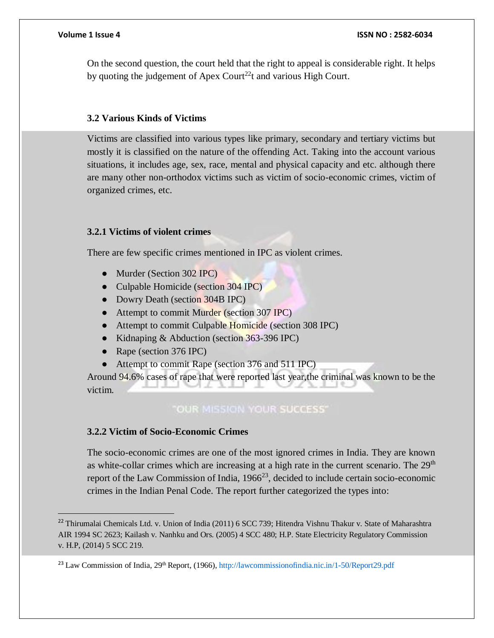On the second question, the court held that the right to appeal is considerable right. It helps by quoting the judgement of Apex Court<sup>22</sup>t and various High Court.

### **3.2 Various Kinds of Victims**

Victims are classified into various types like primary, secondary and tertiary victims but mostly it is classified on the nature of the offending Act. Taking into the account various situations, it includes age, sex, race, mental and physical capacity and etc. although there are many other non-orthodox victims such as victim of socio-economic crimes, victim of organized crimes, etc.

### **3.2.1 Victims of violent crimes**

There are few specific crimes mentioned in IPC as violent crimes.

- Murder (Section 302 IPC)
- Culpable Homicide (section 304 IPC)
- Dowry Death (section 304B IPC)
- Attempt to commit Murder (section 307 IPC)
- Attempt to commit Culpable Homicide (section 308 IPC)
- Kidnaping & Abduction (section 363-396 IPC)
- Rape (section 376 IPC)
- Attempt to commit Rape (section 376 and 511 IPC)

Around 94.6% cases of rape that were reported last year,the criminal was known to be the victim.

# "OUR MISSION YOUR SUCCESS"

# **3.2.2 Victim of Socio-Economic Crimes**

The socio-economic crimes are one of the most ignored crimes in India. They are known as white-collar crimes which are increasing at a high rate in the current scenario. The  $29<sup>th</sup>$ report of the Law Commission of India,  $1966^{23}$ , decided to include certain socio-economic crimes in the Indian Penal Code. The report further categorized the types into:

<sup>&</sup>lt;sup>22</sup> Thirumalai Chemicals Ltd. v. Union of India (2011) 6 SCC 739; Hitendra Vishnu Thakur v. State of Maharashtra AIR 1994 SC 2623; Kailash v. Nanhku and Ors. (2005) 4 SCC 480; H.P. State Electricity Regulatory Commission v. H.P, (2014) 5 SCC 219.

<sup>&</sup>lt;sup>23</sup> Law Commission of India, 29<sup>th</sup> Report, (1966), http://lawcommissionofindia.nic.in/1-50/Report29.pdf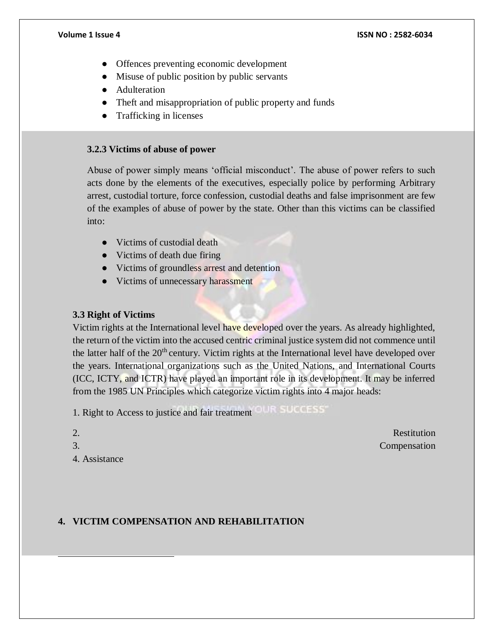- Offences preventing economic development
- Misuse of public position by public servants
- Adulteration
- Theft and misappropriation of public property and funds
- Trafficking in licenses

# **3.2.3 Victims of abuse of power**

Abuse of power simply means 'official misconduct'. The abuse of power refers to such acts done by the elements of the executives, especially police by performing Arbitrary arrest, custodial torture, force confession, custodial deaths and false imprisonment are few of the examples of abuse of power by the state. Other than this victims can be classified into:

- Victims of custodial death
- Victims of death due firing
- Victims of groundless arrest and detention
- Victims of unnecessary harassment

# **3.3 Right of Victims**

Victim rights at the International level have developed over the years. As already highlighted, the return of the victim into the accused centric criminal justice system did not commence until the latter half of the  $20<sup>th</sup>$  century. Victim rights at the International level have developed over the years. International organizations such as the United Nations, and International Courts (ICC, ICTY, and ICTR) have played an important role in its development. It may be inferred from the 1985 UN Principles which categorize victim rights into 4 major heads:

1. Right to Access to justice and fair treatment

- 
- 

 $\overline{a}$ 

4. Assistance

2. Restitution 3. Compensation

# **4. VICTIM COMPENSATION AND REHABILITATION**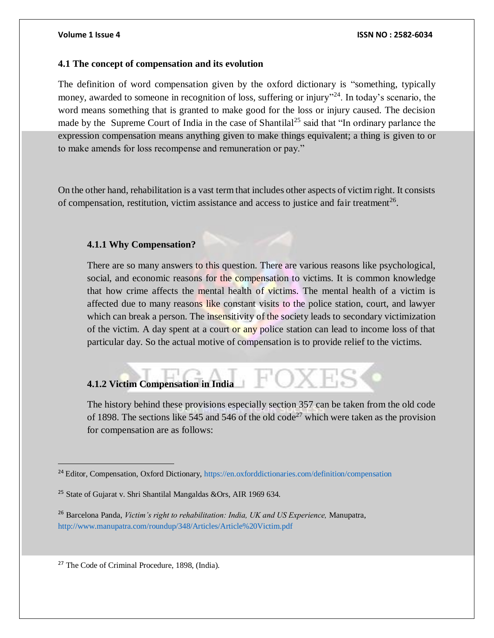### **4.1 The concept of compensation and its evolution**

The definition of word compensation given by the oxford dictionary is "something, typically money, awarded to someone in recognition of loss, suffering or injury"<sup>24</sup>. In today's scenario, the word means something that is granted to make good for the loss or injury caused. The decision made by the Supreme Court of India in the case of Shantilal<sup>25</sup> said that "In ordinary parlance the expression compensation means anything given to make things equivalent; a thing is given to or to make amends for loss recompense and remuneration or pay."

On the other hand, rehabilitation is a vast term that includes other aspects of victim right. It consists of compensation, restitution, victim assistance and access to justice and fair treatment<sup>26</sup>.

# **4.1.1 Why Compensation?**

There are so many answers to this question. There are various reasons like psychological, social, and economic reasons for the compensation to victims. It is common knowledge that how crime affects the mental health of victims. The mental health of a victim is affected due to many reasons like constant visits to the police station, court, and lawyer which can break a person. The insensitivity of the society leads to secondary victimization of the victim. A day spent at a court or any police station can lead to income loss of that particular day. So the actual motive of compensation is to provide relief to the victims.

# **4.1.2 Victim Compensation in India**

The history behind these provisions especially section 357 can be taken from the old code of 1898. The sections like 545 and 546 of the old code<sup>27</sup> which were taken as the provision for compensation are as follows:

<sup>27</sup> The Code of Criminal Procedure, 1898, (India).

<sup>&</sup>lt;sup>24</sup> Editor, Compensation, Oxford Dictionary, https://en.oxforddictionaries.com/definition/compensation

<sup>&</sup>lt;sup>25</sup> State of Gujarat v. Shri Shantilal Mangaldas &Ors, AIR 1969 634.

<sup>26</sup> Barcelona Panda, *Victim's right to rehabilitation: India, UK and US Experience,* Manupatra, http://www.manupatra.com/roundup/348/Articles/Article%20Victim.pdf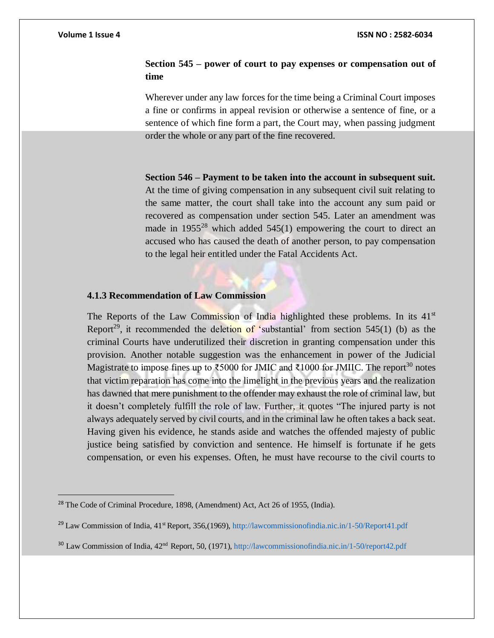$\overline{a}$ 

#### **Volume 1 Issue 4 ISSN NO : 2582-6034**

# **Section 545 – power of court to pay expenses or compensation out of time**

Wherever under any law forces for the time being a Criminal Court imposes a fine or confirms in appeal revision or otherwise a sentence of fine, or a sentence of which fine form a part, the Court may, when passing judgment order the whole or any part of the fine recovered.

**Section 546 – Payment to be taken into the account in subsequent suit.**  At the time of giving compensation in any subsequent civil suit relating to the same matter, the court shall take into the account any sum paid or recovered as compensation under section 545. Later an amendment was made in  $1955^{28}$  which added  $545(1)$  empowering the court to direct an accused who has caused the death of another person, to pay compensation to the legal heir entitled under the Fatal Accidents Act.

#### **4.1.3 Recommendation of Law Commission**

The Reports of the Law Commission of India highlighted these problems. In its  $41<sup>st</sup>$ Report<sup>29</sup>, it recommended the deletion of 'substantial' from section 545(1) (b) as the criminal Courts have underutilized their discretion in granting compensation under this provision. Another notable suggestion was the enhancement in power of the Judicial Magistrate to impose fines up to ₹5000 for JMIC and ₹1000 for JMIIC. The report<sup>30</sup> notes that victim reparation has come into the limelight in the previous years and the realization has dawned that mere punishment to the offender may exhaust the role of criminal law, but it doesn't completely fulfill the role of law. Further, it quotes "The injured party is not always adequately served by civil courts, and in the criminal law he often takes a back seat. Having given his evidence, he stands aside and watches the offended majesty of public justice being satisfied by conviction and sentence. He himself is fortunate if he gets compensation, or even his expenses. Often, he must have recourse to the civil courts to

<sup>&</sup>lt;sup>28</sup> The Code of Criminal Procedure, 1898, (Amendment) Act, Act 26 of 1955, (India).

<sup>&</sup>lt;sup>29</sup> Law Commission of India, 41<sup>st</sup> Report, 356,(1969), http://lawcommissionofindia.nic.in/1-50/Report41.pdf

<sup>&</sup>lt;sup>30</sup> Law Commission of India, 42<sup>nd</sup> Report, 50, (1971), http://lawcommissionofindia.nic.in/1-50/report42.pdf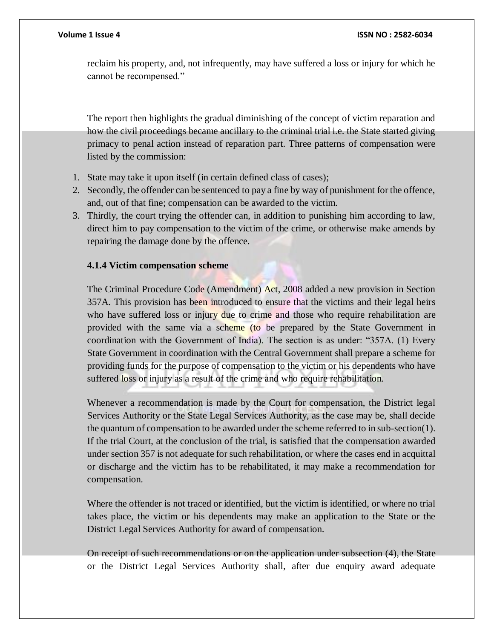reclaim his property, and, not infrequently, may have suffered a loss or injury for which he cannot be recompensed."

The report then highlights the gradual diminishing of the concept of victim reparation and how the civil proceedings became ancillary to the criminal trial i.e. the State started giving primacy to penal action instead of reparation part. Three patterns of compensation were listed by the commission:

- 1. State may take it upon itself (in certain defined class of cases);
- 2. Secondly, the offender can be sentenced to pay a fine by way of punishment for the offence, and, out of that fine; compensation can be awarded to the victim.
- 3. Thirdly, the court trying the offender can, in addition to punishing him according to law, direct him to pay compensation to the victim of the crime, or otherwise make amends by repairing the damage done by the offence.

# **4.1.4 Victim compensation scheme**

The Criminal Procedure Code (Amendment) Act, 2008 added a new provision in Section 357A. This provision has been introduced to ensure that the victims and their legal heirs who have suffered loss or injury due to crime and those who require rehabilitation are provided with the same via a scheme (to be prepared by the State Government in coordination with the Government of India). The section is as under: "357A. (1) Every State Government in coordination with the Central Government shall prepare a scheme for providing funds for the purpose of compensation to the victim or his dependents who have suffered loss or injury as a result of the crime and who require rehabilitation.

Whenever a recommendation is made by the Court for compensation, the District legal Services Authority or the State Legal Services Authority, as the case may be, shall decide the quantum of compensation to be awarded under the scheme referred to in sub-section(1). If the trial Court, at the conclusion of the trial, is satisfied that the compensation awarded under section 357 is not adequate for such rehabilitation, or where the cases end in acquittal or discharge and the victim has to be rehabilitated, it may make a recommendation for compensation.

Where the offender is not traced or identified, but the victim is identified, or where no trial takes place, the victim or his dependents may make an application to the State or the District Legal Services Authority for award of compensation.

On receipt of such recommendations or on the application under subsection (4), the State or the District Legal Services Authority shall, after due enquiry award adequate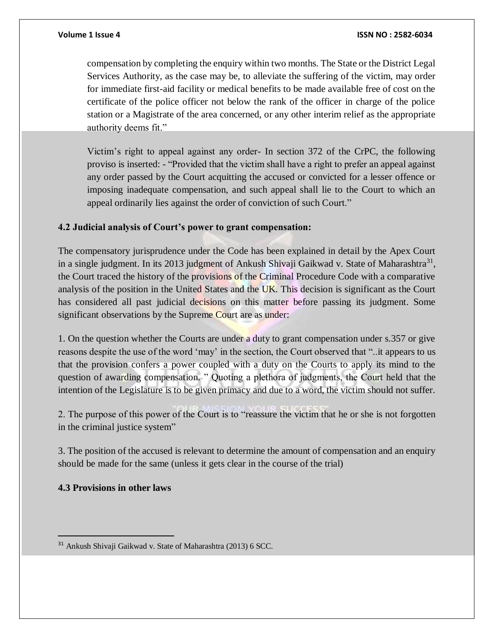compensation by completing the enquiry within two months. The State or the District Legal Services Authority, as the case may be, to alleviate the suffering of the victim, may order for immediate first-aid facility or medical benefits to be made available free of cost on the certificate of the police officer not below the rank of the officer in charge of the police station or a Magistrate of the area concerned, or any other interim relief as the appropriate authority deems fit."

Victim's right to appeal against any order- In section 372 of the CrPC, the following proviso is inserted: - "Provided that the victim shall have a right to prefer an appeal against any order passed by the Court acquitting the accused or convicted for a lesser offence or imposing inadequate compensation, and such appeal shall lie to the Court to which an appeal ordinarily lies against the order of conviction of such Court."

# **4.2 Judicial analysis of Court's power to grant compensation:**

The compensatory jurisprudence under the Code has been explained in detail by the Apex Court in a single judgment. In its 2013 judgment of Ankush Shivaji Gaikwad v. State of Maharashtra<sup>31</sup>, the Court traced the history of the provisions of the Criminal Procedure Code with a comparative analysis of the position in the United States and the UK. This decision is significant as the Court has considered all past judicial decisions on this matter before passing its judgment. Some significant observations by the Supreme Court are as under:

1. On the question whether the Courts are under a duty to grant compensation under s.357 or give reasons despite the use of the word 'may' in the section, the Court observed that "..it appears to us that the provision confers a power coupled with a duty on the Courts to apply its mind to the question of awarding compensation. " Quoting a plethora of judgments, the Court held that the intention of the Legislature is to be given primacy and due to a word, the victim should not suffer.

2. The purpose of this power of the Court is to "reassure the victim that he or she is not forgotten in the criminal justice system"

3. The position of the accused is relevant to determine the amount of compensation and an enquiry should be made for the same (unless it gets clear in the course of the trial)

# **4.3 Provisions in other laws**

<sup>31</sup> Ankush Shivaji Gaikwad v. State of Maharashtra (2013) 6 SCC.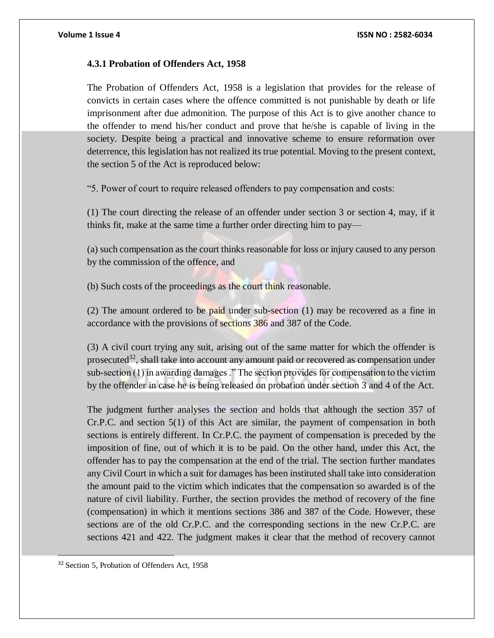#### **4.3.1 Probation of Offenders Act, 1958**

The Probation of Offenders Act, 1958 is a legislation that provides for the release of convicts in certain cases where the offence committed is not punishable by death or life imprisonment after due admonition. The purpose of this Act is to give another chance to the offender to mend his/her conduct and prove that he/she is capable of living in the society. Despite being a practical and innovative scheme to ensure reformation over deterrence, this legislation has not realized its true potential. Moving to the present context, the section 5 of the Act is reproduced below:

"5. Power of court to require released offenders to pay compensation and costs:

(1) The court directing the release of an offender under section 3 or section 4, may, if it thinks fit, make at the same time a further order directing him to pay—

(a) such compensation as the court thinks reasonable for loss or injury caused to any person by the commission of the offence, and

(b) Such costs of the proceedings as the court think reasonable.

(2) The amount ordered to be paid under sub-section  $(1)$  may be recovered as a fine in accordance with the provisions of sections 386 and 387 of the Code.

(3) A civil court trying any suit, arising out of the same matter for which the offender is prosecuted<sup>32</sup>, shall take into account any amount paid or recovered as compensation under sub-section (1) in awarding damages ." The section provides for compensation to the victim by the offender in case he is being released on probation under section 3 and 4 of the Act.

The judgment further analyses the section and holds that although the section 357 of Cr.P.C. and section 5(1) of this Act are similar, the payment of compensation in both sections is entirely different. In Cr.P.C. the payment of compensation is preceded by the imposition of fine, out of which it is to be paid. On the other hand, under this Act, the offender has to pay the compensation at the end of the trial. The section further mandates any Civil Court in which a suit for damages has been instituted shall take into consideration the amount paid to the victim which indicates that the compensation so awarded is of the nature of civil liability. Further, the section provides the method of recovery of the fine (compensation) in which it mentions sections 386 and 387 of the Code. However, these sections are of the old Cr.P.C. and the corresponding sections in the new Cr.P.C. are sections 421 and 422. The judgment makes it clear that the method of recovery cannot

<sup>32</sup> Section 5, Probation of Offenders Act, 1958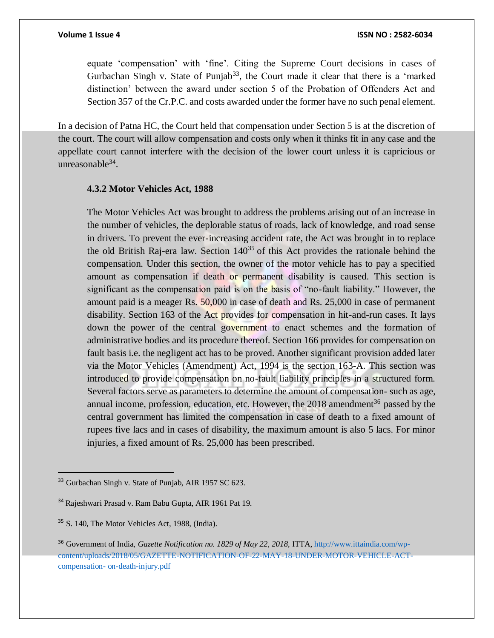equate 'compensation' with 'fine'. Citing the Supreme Court decisions in cases of Gurbachan Singh v. State of Punjab<sup>33</sup>, the Court made it clear that there is a 'marked distinction' between the award under section 5 of the Probation of Offenders Act and Section 357 of the Cr.P.C. and costs awarded under the former have no such penal element.

In a decision of Patna HC, the Court held that compensation under Section 5 is at the discretion of the court. The court will allow compensation and costs only when it thinks fit in any case and the appellate court cannot interfere with the decision of the lower court unless it is capricious or unreasonable $34$ .

### **4.3.2 Motor Vehicles Act, 1988**

The Motor Vehicles Act was brought to address the problems arising out of an increase in the number of vehicles, the deplorable status of roads, lack of knowledge, and road sense in drivers. To prevent the ever-increasing accident rate, the Act was brought in to replace the old British Raj-era law. Section  $140^{35}$  of this Act provides the rationale behind the compensation. Under this section, the owner of the motor vehicle has to pay a specified amount as compensation if death or permanent disability is caused. This section is significant as the compensation paid is on the basis of "no-fault liability." However, the amount paid is a meager Rs. 50,000 in case of death and Rs. 25,000 in case of permanent disability. Section 163 of the Act provides for compensation in hit-and-run cases. It lays down the power of the central government to enact schemes and the formation of administrative bodies and its procedure thereof. Section 166 provides for compensation on fault basis i.e. the negligent act has to be proved. Another significant provision added later via the Motor Vehicles (Amendment) Act, 1994 is the section 163-A. This section was introduced to provide compensation on no-fault liability principles in a structured form. Several factors serve as parameters to determine the amount of compensation- such as age, annual income, profession, education, etc. However, the  $2018$  amendment<sup>36</sup> passed by the central government has limited the compensation in case of death to a fixed amount of rupees five lacs and in cases of disability, the maximum amount is also 5 lacs. For minor injuries, a fixed amount of Rs. 25,000 has been prescribed.

<sup>&</sup>lt;sup>33</sup> Gurbachan Singh v. State of Punjab, AIR 1957 SC 623.

<sup>34</sup> Rajeshwari Prasad v. Ram Babu Gupta, AIR 1961 Pat 19.

<sup>&</sup>lt;sup>35</sup> S. 140, The Motor Vehicles Act, 1988, (India).

<sup>&</sup>lt;sup>36</sup> Government of India, *Gazette Notification no. 1829 of May 22, 2018*, ITTA, http://www.ittaindia.com/wpcontent/uploads/2018/05/GAZETTE-NOTIFICATION-OF-22-MAY-18-UNDER-MOTOR-VEHICLE-ACTcompensation- on-death-injury.pdf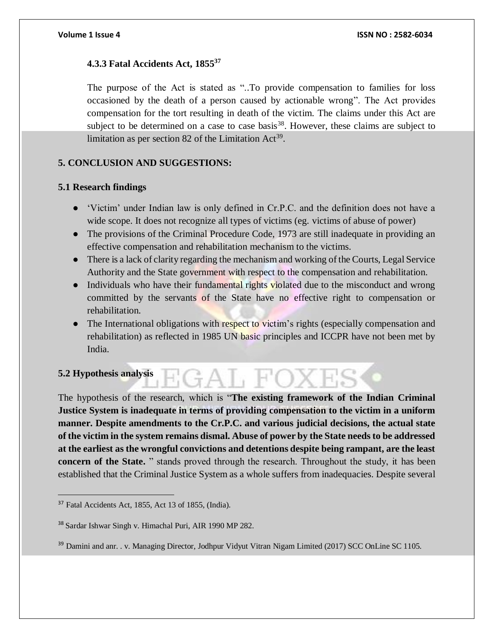# **4.3.3 Fatal Accidents Act, 1855<sup>37</sup>**

The purpose of the Act is stated as "..To provide compensation to families for loss occasioned by the death of a person caused by actionable wrong". The Act provides compensation for the tort resulting in death of the victim. The claims under this Act are subject to be determined on a case to case basis<sup>38</sup>. However, these claims are subject to limitation as per section 82 of the Limitation  $Act^{39}$ .

# **5. CONCLUSION AND SUGGESTIONS:**

# **5.1 Research findings**

- 'Victim' under Indian law is only defined in Cr.P.C. and the definition does not have a wide scope. It does not recognize all types of victims (eg. victims of abuse of power)
- The provisions of the Criminal Procedure Code, 1973 are still inadequate in providing an effective compensation and rehabilitation mechanism to the victims.
- There is a lack of clarity regarding the mechanism and working of the Courts, Legal Service Authority and the State government with respect to the compensation and rehabilitation.
- Individuals who have their fundamental rights violated due to the misconduct and wrong committed by the servants of the State have no effective right to compensation or rehabilitation.
- The International obligations with respect to victim's rights (especially compensation and rehabilitation) as reflected in 1985 UN basic principles and ICCPR have not been met by India.

# **5.2 Hypothesis analysis**

 $\overline{a}$ 

The hypothesis of the research, which is "**The existing framework of the Indian Criminal Justice System is inadequate in terms of providing compensation to the victim in a uniform manner. Despite amendments to the Cr.P.C. and various judicial decisions, the actual state of the victim in the system remains dismal. Abuse of power by the State needs to be addressed at the earliest as the wrongful convictions and detentions despite being rampant, are the least concern of the State.** " stands proved through the research. Throughout the study, it has been established that the Criminal Justice System as a whole suffers from inadequacies. Despite several

<sup>37</sup> Fatal Accidents Act, 1855, Act 13 of 1855, (India).

<sup>38</sup> Sardar Ishwar Singh v. Himachal Puri, AIR 1990 MP 282.

<sup>&</sup>lt;sup>39</sup> Damini and anr. . v. Managing Director, Jodhpur Vidyut Vitran Nigam Limited (2017) SCC OnLine SC 1105.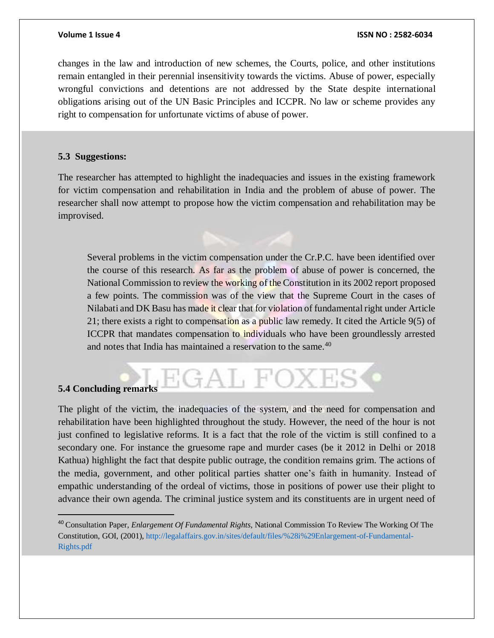changes in the law and introduction of new schemes, the Courts, police, and other institutions remain entangled in their perennial insensitivity towards the victims. Abuse of power, especially wrongful convictions and detentions are not addressed by the State despite international obligations arising out of the UN Basic Principles and ICCPR. No law or scheme provides any right to compensation for unfortunate victims of abuse of power.

### **5.3 Suggestions:**

The researcher has attempted to highlight the inadequacies and issues in the existing framework for victim compensation and rehabilitation in India and the problem of abuse of power. The researcher shall now attempt to propose how the victim compensation and rehabilitation may be improvised.

Several problems in the victim compensation under the Cr.P.C. have been identified over the course of this research. As far as the problem of abuse of power is concerned, the National Commission to review the working of the Constitution in its 2002 report proposed a few points. The commission was of the view that the Supreme Court in the cases of Nilabati and DK Basu has made it clear that for violation of fundamental right under Article 21; there exists a right to compensation as a public law remedy. It cited the Article 9(5) of ICCPR that mandates compensation to individuals who have been groundlessly arrested and notes that India has maintained a reservation to the same. $40$ 

# **5.4 Concluding remarks**

 $\overline{a}$ 

The plight of the victim, the inadequacies of the system, and the need for compensation and rehabilitation have been highlighted throughout the study. However, the need of the hour is not just confined to legislative reforms. It is a fact that the role of the victim is still confined to a secondary one. For instance the gruesome rape and murder cases (be it 2012 in Delhi or 2018 Kathua) highlight the fact that despite public outrage, the condition remains grim. The actions of the media, government, and other political parties shatter one's faith in humanity. Instead of empathic understanding of the ordeal of victims, those in positions of power use their plight to advance their own agenda. The criminal justice system and its constituents are in urgent need of

GAL FO)

<sup>40</sup> Consultation Paper, *Enlargement Of Fundamental Rights,* National Commission To Review The Working Of The Constitution, GOI, (2001), http://legalaffairs.gov.in/sites/default/files/%28i%29Enlargement-of-Fundamental-Rights.pdf